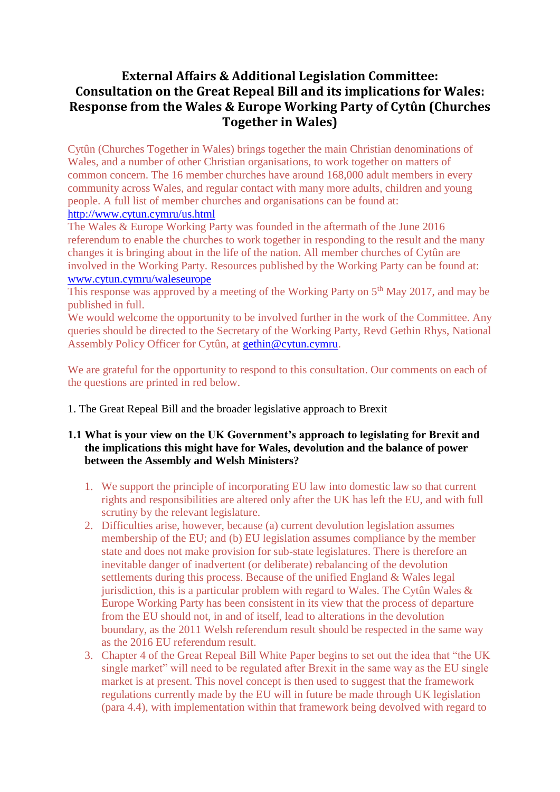# **External Affairs & Additional Legislation Committee: Consultation on the Great Repeal Bill and its implications for Wales: Response from the Wales & Europe Working Party of Cytûn (Churches Together in Wales)**

Cytûn (Churches Together in Wales) brings together the main Christian denominations of Wales, and a number of other Christian organisations, to work together on matters of common concern. The 16 member churches have around 168,000 adult members in every community across Wales, and regular contact with many more adults, children and young people. A full list of member churches and organisations can be found at: <http://www.cytun.cymru/us.html>

The Wales & Europe Working Party was founded in the aftermath of the June 2016 referendum to enable the churches to work together in responding to the result and the many changes it is bringing about in the life of the nation. All member churches of Cytûn are involved in the Working Party. Resources published by the Working Party can be found at: [www.cytun.cymru/waleseurope](http://www.cytun.cymru/waleseurope)

This response was approved by a meeting of the Working Party on 5<sup>th</sup> May 2017, and may be published in full.

We would welcome the opportunity to be involved further in the work of the Committee. Any queries should be directed to the Secretary of the Working Party, Revd Gethin Rhys, National Assembly Policy Officer for Cytûn, at [gethin@cytun.cymru.](mailto:gethin@cytun.cymru)

We are grateful for the opportunity to respond to this consultation. Our comments on each of the questions are printed in red below.

1. The Great Repeal Bill and the broader legislative approach to Brexit

# **1.1 What is your view on the UK Government's approach to legislating for Brexit and the implications this might have for Wales, devolution and the balance of power between the Assembly and Welsh Ministers?**

- 1. We support the principle of incorporating EU law into domestic law so that current rights and responsibilities are altered only after the UK has left the EU, and with full scrutiny by the relevant legislature.
- 2. Difficulties arise, however, because (a) current devolution legislation assumes membership of the EU; and (b) EU legislation assumes compliance by the member state and does not make provision for sub-state legislatures. There is therefore an inevitable danger of inadvertent (or deliberate) rebalancing of the devolution settlements during this process. Because of the unified England & Wales legal jurisdiction, this is a particular problem with regard to Wales. The Cytûn Wales  $\&$ Europe Working Party has been consistent in its view that the process of departure from the EU should not, in and of itself, lead to alterations in the devolution boundary, as the 2011 Welsh referendum result should be respected in the same way as the 2016 EU referendum result.
- 3. Chapter 4 of the Great Repeal Bill White Paper begins to set out the idea that "the UK single market" will need to be regulated after Brexit in the same way as the EU single market is at present. This novel concept is then used to suggest that the framework regulations currently made by the EU will in future be made through UK legislation (para 4.4), with implementation within that framework being devolved with regard to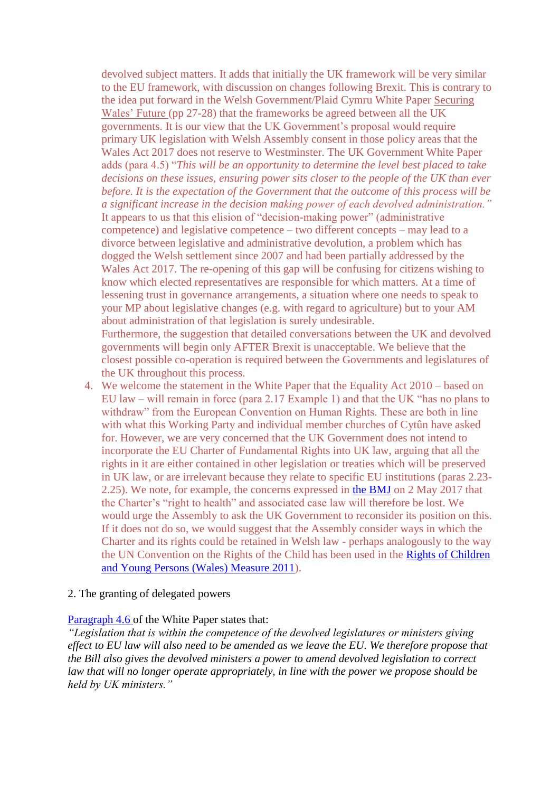devolved subject matters. It adds that initially the UK framework will be very similar to the EU framework, with discussion on changes following Brexit. This is contrary to the idea put forward in the Welsh Government/Plaid Cymru White Paper [Securing](https://beta.gov.wales/sites/default/files/2017-01/30683%20Securing%20Wales%C2%B9%20Future_ENGLISH_WEB.pdf)  [Wales' Future \(](https://beta.gov.wales/sites/default/files/2017-01/30683%20Securing%20Wales%C2%B9%20Future_ENGLISH_WEB.pdf)pp 27-28) that the frameworks be agreed between all the UK governments. It is our view that the UK Government's proposal would require primary UK legislation with Welsh Assembly consent in those policy areas that the Wales Act 2017 does not reserve to Westminster. The UK Government White Paper adds (para 4.5) "*This will be an opportunity to determine the level best placed to take decisions on these issues, ensuring power sits closer to the people of the UK than ever before. It is the expectation of the Government that the outcome of this process will be a significant increase in the decision making power of each devolved administration."* It appears to us that this elision of "decision-making power" (administrative competence) and legislative competence – two different concepts – may lead to a divorce between legislative and administrative devolution, a problem which has dogged the Welsh settlement since 2007 and had been partially addressed by the Wales Act 2017. The re-opening of this gap will be confusing for citizens wishing to know which elected representatives are responsible for which matters. At a time of lessening trust in governance arrangements, a situation where one needs to speak to your MP about legislative changes (e.g. with regard to agriculture) but to your AM about administration of that legislation is surely undesirable. Furthermore, the suggestion that detailed conversations between the UK and devolved governments will begin only AFTER Brexit is unacceptable. We believe that the closest possible co-operation is required between the Governments and legislatures of

- the UK throughout this process. 4. We welcome the statement in the White Paper that the Equality Act 2010 – based on EU law – will remain in force (para 2.17 Example 1) and that the UK "has no plans to withdraw" from the European Convention on Human Rights. These are both in line with what this Working Party and individual member churches of Cytûn have asked for. However, we are very concerned that the UK Government does not intend to incorporate the EU Charter of Fundamental Rights into UK law, arguing that all the rights in it are either contained in other legislation or treaties which will be preserved in UK law, or are irrelevant because they relate to specific EU institutions (paras 2.23- 2.25). We note, for example, the concerns expressed in [the BMJ](http://www.bmj.com/content/357/bmj.j2013) on 2 May 2017 that the Charter's "right to health" and associated case law will therefore be lost. We would urge the Assembly to ask the UK Government to reconsider its position on this.
	- If it does not do so, we would suggest that the Assembly consider ways in which the Charter and its rights could be retained in Welsh law - perhaps analogously to the way the UN Convention on the Rights of the Child has been used in the [Rights of Children](http://gov.wales/topics/people-and-communities/people/children-and-young-people/rights/uncrc/?lang=en)  [and Young Persons \(Wales\) Measure 2011\)](http://gov.wales/topics/people-and-communities/people/children-and-young-people/rights/uncrc/?lang=en).

#### 2. The granting of delegated powers

#### [Paragraph 4.6 o](https://www.gov.uk/government/publications/the-great-repeal-bill-white-paper/legislating-for-the-united-kingdoms-withdrawal-from-the-european-union#chapter-4-interaction-with-the-devolution-settlements)f the White Paper states that:

*"Legislation that is within the competence of the devolved legislatures or ministers giving effect to EU law will also need to be amended as we leave the EU. We therefore propose that the Bill also gives the devolved ministers a power to amend devolved legislation to correct law that will no longer operate appropriately, in line with the power we propose should be held by UK ministers."*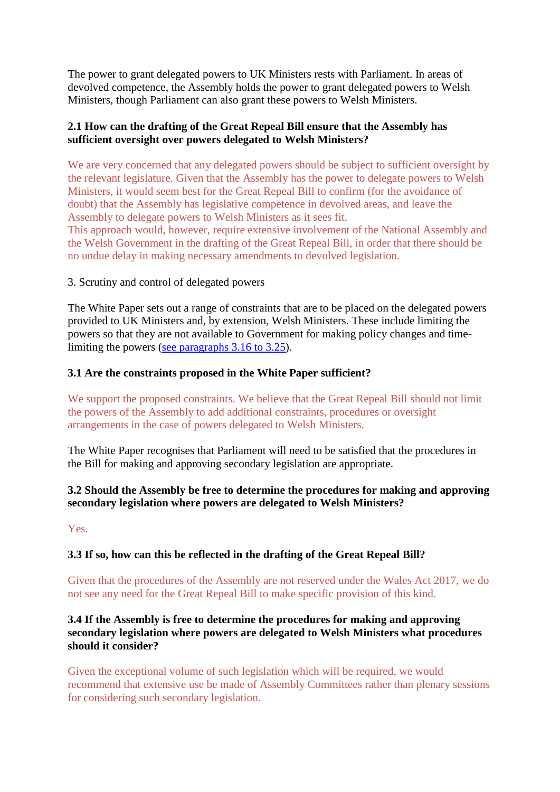The power to grant delegated powers to UK Ministers rests with Parliament. In areas of devolved competence, the Assembly holds the power to grant delegated powers to Welsh Ministers, though Parliament can also grant these powers to Welsh Ministers.

# **2.1 How can the drafting of the Great Repeal Bill ensure that the Assembly has sufficient oversight over powers delegated to Welsh Ministers?**

We are very concerned that any delegated powers should be subject to sufficient oversight by the relevant legislature. Given that the Assembly has the power to delegate powers to Welsh Ministers, it would seem best for the Great Repeal Bill to confirm (for the avoidance of doubt) that the Assembly has legislative competence in devolved areas, and leave the Assembly to delegate powers to Welsh Ministers as it sees fit.

This approach would, however, require extensive involvement of the National Assembly and the Welsh Government in the drafting of the Great Repeal Bill, in order that there should be no undue delay in making necessary amendments to devolved legislation.

## 3. Scrutiny and control of delegated powers

The White Paper sets out a range of constraints that are to be placed on the delegated powers provided to UK Ministers and, by extension, Welsh Ministers. These include limiting the powers so that they are not available to Government for making policy changes and timelimiting the powers (see paragraphs 3.16 to 3.25).

## **3.1 Are the constraints proposed in the White Paper sufficient?**

We support the proposed constraints. We believe that the Great Repeal Bill should not limit the powers of the Assembly to add additional constraints, procedures or oversight arrangements in the case of powers delegated to Welsh Ministers.

The White Paper recognises that Parliament will need to be satisfied that the procedures in the Bill for making and approving secondary legislation are appropriate.

## **3.2 Should the Assembly be free to determine the procedures for making and approving secondary legislation where powers are delegated to Welsh Ministers?**

Yes.

# **3.3 If so, how can this be reflected in the drafting of the Great Repeal Bill?**

Given that the procedures of the Assembly are not reserved under the Wales Act 2017, we do not see any need for the Great Repeal Bill to make specific provision of this kind.

# **3.4 If the Assembly is free to determine the procedures for making and approving secondary legislation where powers are delegated to Welsh Ministers what procedures should it consider?**

Given the exceptional volume of such legislation which will be required, we would recommend that extensive use be made of Assembly Committees rather than plenary sessions for considering such secondary legislation.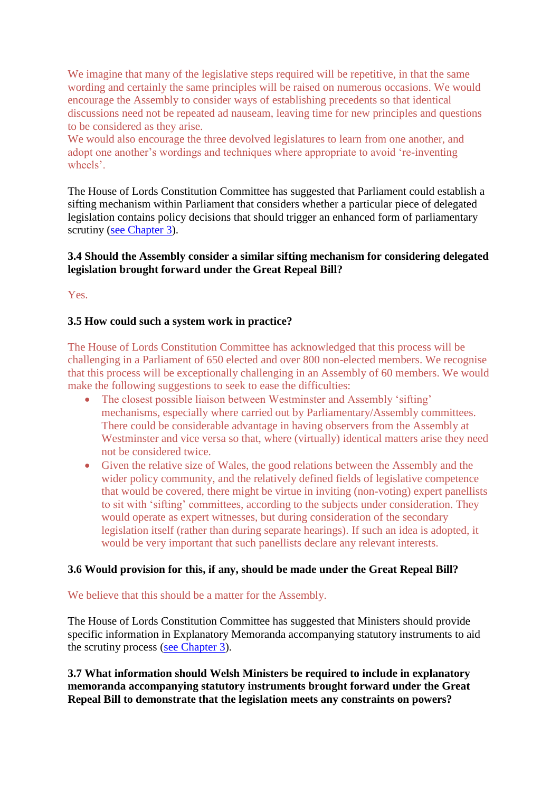We imagine that many of the legislative steps required will be repetitive, in that the same wording and certainly the same principles will be raised on numerous occasions. We would encourage the Assembly to consider ways of establishing precedents so that identical discussions need not be repeated ad nauseam, leaving time for new principles and questions to be considered as they arise.

We would also encourage the three devolved legislatures to learn from one another, and adopt one another's wordings and techniques where appropriate to avoid 're-inventing wheels'.

The House of Lords Constitution Committee has suggested that Parliament could establish a sifting mechanism within Parliament that considers whether a particular piece of delegated legislation contains policy decisions that should trigger an enhanced form of parliamentary scrutiny [\(see Chapter 3\)](https://www.publications.parliament.uk/pa/ld201617/ldselect/ldconst/123/12306.htm).

# **3.4 Should the Assembly consider a similar sifting mechanism for considering delegated legislation brought forward under the Great Repeal Bill?**

Yes.

# **3.5 How could such a system work in practice?**

The House of Lords Constitution Committee has acknowledged that this process will be challenging in a Parliament of 650 elected and over 800 non-elected members. We recognise that this process will be exceptionally challenging in an Assembly of 60 members. We would make the following suggestions to seek to ease the difficulties:

- The closest possible liaison between Westminster and Assembly 'sifting' mechanisms, especially where carried out by Parliamentary/Assembly committees. There could be considerable advantage in having observers from the Assembly at Westminster and vice versa so that, where (virtually) identical matters arise they need not be considered twice.
- Given the relative size of Wales, the good relations between the Assembly and the wider policy community, and the relatively defined fields of legislative competence that would be covered, there might be virtue in inviting (non-voting) expert panellists to sit with 'sifting' committees, according to the subjects under consideration. They would operate as expert witnesses, but during consideration of the secondary legislation itself (rather than during separate hearings). If such an idea is adopted, it would be very important that such panellists declare any relevant interests.

#### **3.6 Would provision for this, if any, should be made under the Great Repeal Bill?**

#### We believe that this should be a matter for the Assembly.

The House of Lords Constitution Committee has suggested that Ministers should provide specific information in Explanatory Memoranda accompanying statutory instruments to aid the scrutiny process [\(see Chapter 3\)](https://www.publications.parliament.uk/pa/ld201617/ldselect/ldconst/123/12306.htm).

**3.7 What information should Welsh Ministers be required to include in explanatory memoranda accompanying statutory instruments brought forward under the Great Repeal Bill to demonstrate that the legislation meets any constraints on powers?**